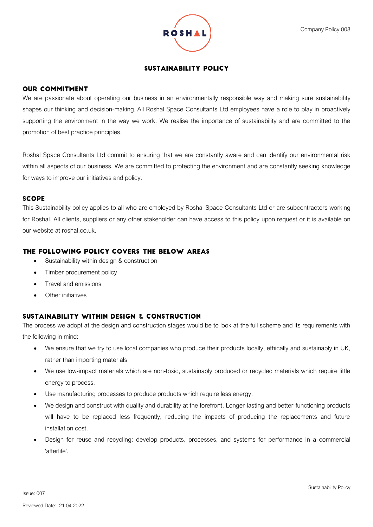

### **SUSTAINABILITY POLICY**

### **OUR COMMITMENT**

We are passionate about operating our business in an environmentally responsible way and making sure sustainability shapes our thinking and decision-making. All Roshal Space Consultants Ltd employees have a role to play in proactively supporting the environment in the way we work. We realise the importance of sustainability and are committed to the promotion of best practice principles.

Roshal Space Consultants Ltd commit to ensuring that we are constantly aware and can identify our environmental risk within all aspects of our business. We are committed to protecting the environment and are constantly seeking knowledge for ways to improve our initiatives and policy.

### **SCOPE**

This Sustainability policy applies to all who are employed by Roshal Space Consultants Ltd or are subcontractors working for Roshal. All clients, suppliers or any other stakeholder can have access to this policy upon request or it is available on our website at roshal.co.uk.

# THE FOLLOWING POLICY COVERS THE BELOW AREAS

- Sustainability within design & construction
- Timber procurement policy
- Travel and emissions
- Other initiatives

# SUSTAINABILITY WITHIN DESIGN & CONSTRUCTION

The process we adopt at the design and construction stages would be to look at the full scheme and its requirements with the following in mind:

- We ensure that we try to use local companies who produce their products locally, ethically and sustainably in UK, rather than importing materials
- We use low-impact materials which are non-toxic, sustainably produced or recycled materials which require little energy to process.
- Use manufacturing processes to produce products which require less energy.
- We design and construct with quality and durability at the forefront. Longer-lasting and better-functioning products will have to be replaced less frequently, reducing the impacts of producing the replacements and future installation cost.
- Design for reuse and recycling: develop products, processes, and systems for performance in a commercial 'afterlife'.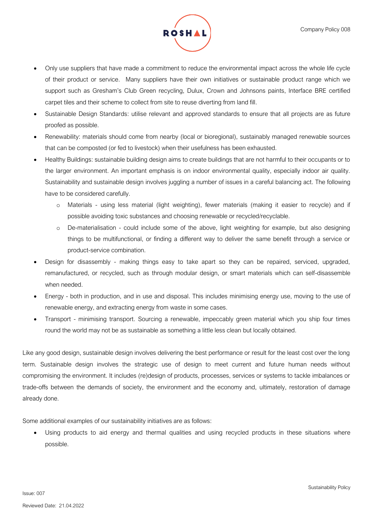

- Only use suppliers that have made a commitment to reduce the environmental impact across the whole life cycle of their product or service. Many suppliers have their own initiatives or sustainable product range which we support such as Gresham's Club Green recycling, Dulux, Crown and Johnsons paints, Interface BRE certified carpet tiles and their scheme to collect from site to reuse diverting from land fill.
- Sustainable Design Standards: utilise relevant and approved standards to ensure that all projects are as future proofed as possible.
- Renewability: materials should come from nearby (local or bioregional), sustainably managed renewable sources that can be composted (or fed to livestock) when their usefulness has been exhausted.
- Healthy Buildings: sustainable building design aims to create buildings that are not harmful to their occupants or to the larger environment. An important emphasis is on indoor environmental quality, especially indoor air quality. Sustainability and sustainable design involves juggling a number of issues in a careful balancing act. The following have to be considered carefully.
	- o Materials using less material (light weighting), fewer materials (making it easier to recycle) and if possible avoiding toxic substances and choosing renewable or recycled/recyclable.
	- o De-materialisation could include some of the above, light weighting for example, but also designing things to be multifunctional, or finding a different way to deliver the same benefit through a service or product-service combination.
- Design for disassembly making things easy to take apart so they can be repaired, serviced, upgraded, remanufactured, or recycled, such as through modular design, or smart materials which can self-disassemble when needed.
- Energy both in production, and in use and disposal. This includes minimising energy use, moving to the use of renewable energy, and extracting energy from waste in some cases.
- Transport minimising transport. Sourcing a renewable, impeccably green material which you ship four times round the world may not be as sustainable as something a little less clean but locally obtained.

Like any good design, sustainable design involves delivering the best performance or result for the least cost over the long term. Sustainable design involves the strategic use of design to meet current and future human needs without compromising the environment. It includes (re)design of products, processes, services or systems to tackle imbalances or trade-offs between the demands of society, the environment and the economy and, ultimately, restoration of damage already done.

Some additional examples of our sustainability initiatives are as follows:

Using products to aid energy and thermal qualities and using recycled products in these situations where possible.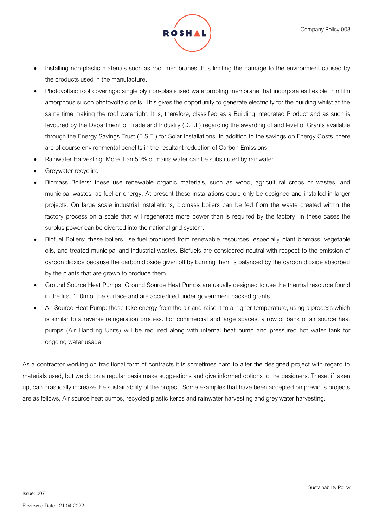- Installing non-plastic materials such as roof membranes thus limiting the damage to the environment caused by the products used in the manufacture.
- Photovoltaic roof coverings: single ply non-plasticised waterproofing membrane that incorporates flexible thin film amorphous silicon photovoltaic cells. This gives the opportunity to generate electricity for the building whilst at the same time making the roof watertight. It is, therefore, classified as a Building Integrated Product and as such is favoured by the Department of Trade and Industry (D.T.I.) regarding the awarding of and level of Grants available through the Energy Savings Trust (E.S.T.) for Solar Installations. In addition to the savings on Energy Costs, there are of course environmental benefits in the resultant reduction of Carbon Emissions.
- Rainwater Harvesting: More than 50% of mains water can be substituted by rainwater.
- Greywater recycling
- Biomass Boilers: these use renewable organic materials, such as wood, agricultural crops or wastes, and municipal wastes, as fuel or energy. At present these installations could only be designed and installed in larger projects. On large scale industrial installations, biomass boilers can be fed from the waste created within the factory process on a scale that will regenerate more power than is required by the factory, in these cases the surplus power can be diverted into the national grid system.
- Biofuel Boilers: these boilers use fuel produced from renewable resources, especially plant biomass, vegetable oils, and treated municipal and industrial wastes. Biofuels are considered neutral with respect to the emission of carbon dioxide because the carbon dioxide given off by burning them is balanced by the carbon dioxide absorbed by the plants that are grown to produce them.
- Ground Source Heat Pumps: Ground Source Heat Pumps are usually designed to use the thermal resource found in the first 100m of the surface and are accredited under government backed grants.
- Air Source Heat Pump: these take energy from the air and raise it to a higher temperature, using a process which is similar to a reverse refrigeration process. For commercial and large spaces, a row or bank of air source heat pumps (Air Handling Units) will be required along with internal heat pump and pressured hot water tank for ongoing water usage.

As a contractor working on traditional form of contracts it is sometimes hard to alter the designed project with regard to materials used, but we do on a regular basis make suggestions and give informed options to the designers. These, if taken up, can drastically increase the sustainability of the project. Some examples that have been accepted on previous projects are as follows, Air source heat pumps, recycled plastic kerbs and rainwater harvesting and grey water harvesting.

Issue: 007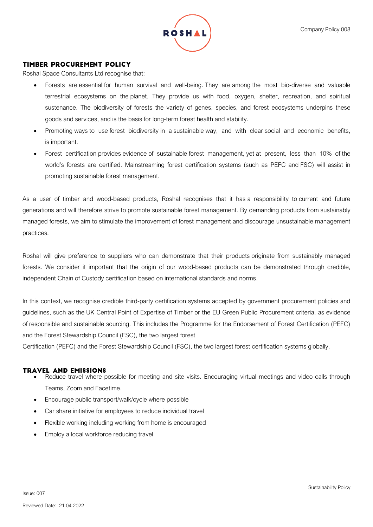

### **TIMBER PROCUREMENT POLICY**

Roshal Space Consultants Ltd recognise that:

- Forests are essential for human survival and well-being. They are among the most bio-diverse and valuable terrestrial ecosystems on the planet. They provide us with food, oxygen, shelter, recreation, and spiritual sustenance. The biodiversity of forests the variety of genes, species, and forest ecosystems underpins these goods and services, and is the basis for long-term forest health and stability.
- Promoting ways to use forest biodiversity in a sustainable way, and with clear social and economic benefits, is important.
- Forest certification provides evidence of sustainable forest management, yet at present, less than 10% of the world's forests are certified. Mainstreaming forest certification systems (such as PEFC and FSC) will assist in promoting sustainable forest management.

As a user of timber and wood-based products, Roshal recognises that it has a responsibility to current and future generations and will therefore strive to promote sustainable forest management. By demanding products from sustainably managed forests, we aim to stimulate the improvement of forest management and discourage unsustainable management practices.

Roshal will give preference to suppliers who can demonstrate that their products originate from sustainably managed forests. We consider it important that the origin of our wood-based products can be demonstrated through credible, independent Chain of Custody certification based on international standards and norms.

In this context, we recognise credible third-party certification systems accepted by government procurement policies and guidelines, such as the UK Central Point of Expertise of Timber or the EU Green Public Procurement criteria, as evidence of responsible and sustainable sourcing. This includes the Programme for the Endorsement of Forest Certification (PEFC) and the Forest Stewardship Council (FSC), the two largest forest

Certification (PEFC) and the Forest Stewardship Council (FSC), the two largest forest certification systems globally.

### **TRAVEL AND EMISSIONS**

- Reduce travel where possible for meeting and site visits. Encouraging virtual meetings and video calls through Teams, Zoom and Facetime.
- Encourage public transport/walk/cycle where possible
- Car share initiative for employees to reduce individual travel
- Flexible working including working from home is encouraged
- Employ a local workforce reducing travel